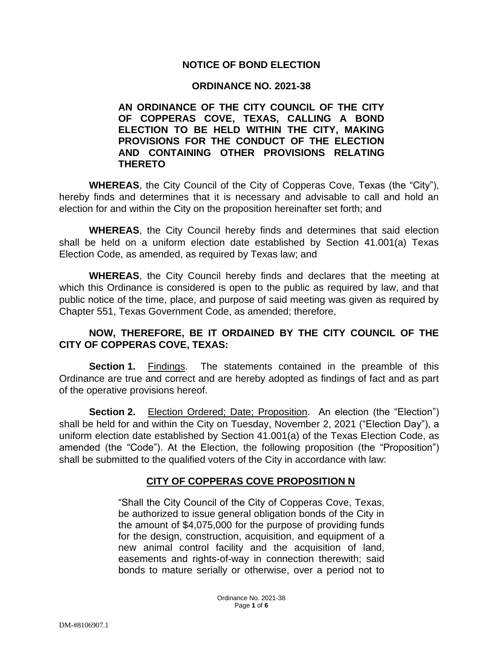### **NOTICE OF BOND ELECTION**

#### **ORDINANCE NO. 2021-38**

**AN ORDINANCE OF THE CITY COUNCIL OF THE CITY OF COPPERAS COVE, TEXAS, CALLING A BOND ELECTION TO BE HELD WITHIN THE CITY, MAKING PROVISIONS FOR THE CONDUCT OF THE ELECTION AND CONTAINING OTHER PROVISIONS RELATING THERETO**

**WHEREAS**, the City Council of the City of Copperas Cove, Texas (the "City"), hereby finds and determines that it is necessary and advisable to call and hold an election for and within the City on the proposition hereinafter set forth; and

**WHEREAS**, the City Council hereby finds and determines that said election shall be held on a uniform election date established by Section 41.001(a) Texas Election Code, as amended, as required by Texas law; and

**WHEREAS**, the City Council hereby finds and declares that the meeting at which this Ordinance is considered is open to the public as required by law, and that public notice of the time, place, and purpose of said meeting was given as required by Chapter 551, Texas Government Code, as amended; therefore,

## **NOW, THEREFORE, BE IT ORDAINED BY THE CITY COUNCIL OF THE CITY OF COPPERAS COVE, TEXAS:**

**Section 1.** Findings. The statements contained in the preamble of this Ordinance are true and correct and are hereby adopted as findings of fact and as part of the operative provisions hereof.

**Section 2.** Election Ordered; Date; Proposition. An election (the "Election") shall be held for and within the City on Tuesday, November 2, 2021 ("Election Day"), a uniform election date established by Section 41.001(a) of the Texas Election Code, as amended (the "Code"). At the Election, the following proposition (the "Proposition") shall be submitted to the qualified voters of the City in accordance with law:

# **CITY OF COPPERAS COVE PROPOSITION N**

"Shall the City Council of the City of Copperas Cove, Texas, be authorized to issue general obligation bonds of the City in the amount of \$4,075,000 for the purpose of providing funds for the design, construction, acquisition, and equipment of a new animal control facility and the acquisition of land, easements and rights-of-way in connection therewith; said bonds to mature serially or otherwise, over a period not to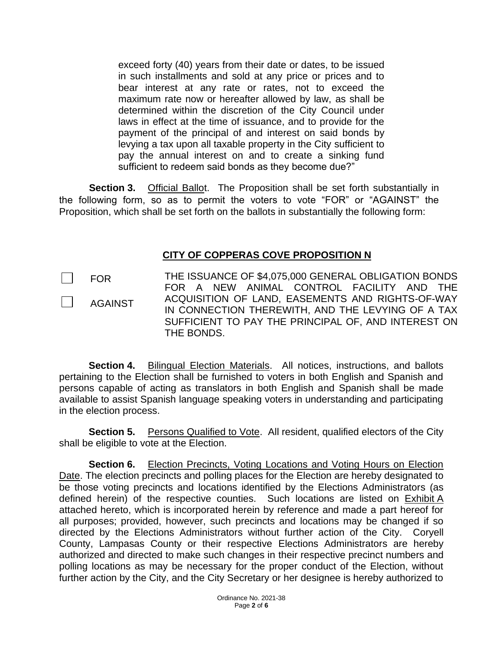exceed forty (40) years from their date or dates, to be issued in such installments and sold at any price or prices and to bear interest at any rate or rates, not to exceed the maximum rate now or hereafter allowed by law, as shall be determined within the discretion of the City Council under laws in effect at the time of issuance, and to provide for the payment of the principal of and interest on said bonds by levying a tax upon all taxable property in the City sufficient to pay the annual interest on and to create a sinking fund sufficient to redeem said bonds as they become due?"

**Section 3.** Official Ballot. The Proposition shall be set forth substantially in the following form, so as to permit the voters to vote "FOR" or "AGAINST" the Proposition, which shall be set forth on the ballots in substantially the following form:

## **CITY OF COPPERAS COVE PROPOSITION N**

FOR

AGAINST

THE ISSUANCE OF \$4,075,000 GENERAL OBLIGATION BONDS FOR A NEW ANIMAL CONTROL FACILITY AND THE ACQUISITION OF LAND, EASEMENTS AND RIGHTS-OF-WAY IN CONNECTION THEREWITH, AND THE LEVYING OF A TAX SUFFICIENT TO PAY THE PRINCIPAL OF, AND INTEREST ON THE BONDS.

**Section 4.** Bilingual Election Materials. All notices, instructions, and ballots pertaining to the Election shall be furnished to voters in both English and Spanish and persons capable of acting as translators in both English and Spanish shall be made available to assist Spanish language speaking voters in understanding and participating in the election process.

**Section 5.** Persons Qualified to Vote. All resident, qualified electors of the City shall be eligible to vote at the Election.

**Section 6.** Election Precincts, Voting Locations and Voting Hours on Election Date. The election precincts and polling places for the Election are hereby designated to be those voting precincts and locations identified by the Elections Administrators (as defined herein) of the respective counties. Such locations are listed on Exhibit A attached hereto, which is incorporated herein by reference and made a part hereof for all purposes; provided, however, such precincts and locations may be changed if so directed by the Elections Administrators without further action of the City. Coryell County, Lampasas County or their respective Elections Administrators are hereby authorized and directed to make such changes in their respective precinct numbers and polling locations as may be necessary for the proper conduct of the Election, without further action by the City, and the City Secretary or her designee is hereby authorized to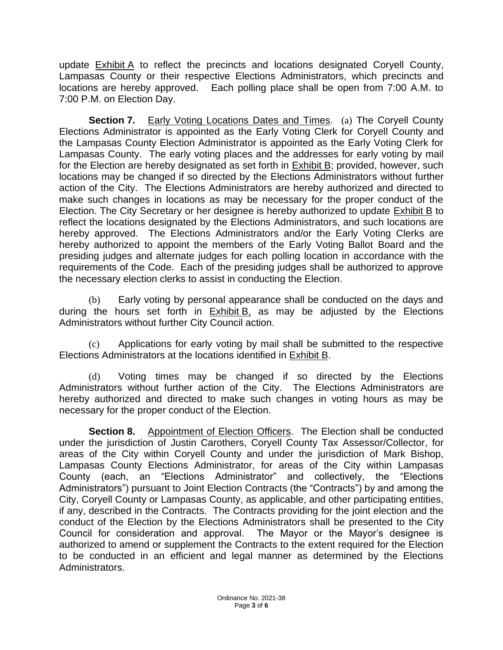update Exhibit A to reflect the precincts and locations designated Coryell County, Lampasas County or their respective Elections Administrators, which precincts and locations are hereby approved. Each polling place shall be open from 7:00 A.M. to 7:00 P.M. on Election Day.

**Section 7.** Early Voting Locations Dates and Times. (a) The Coryell County Elections Administrator is appointed as the Early Voting Clerk for Coryell County and the Lampasas County Election Administrator is appointed as the Early Voting Clerk for Lampasas County. The early voting places and the addresses for early voting by mail for the Election are hereby designated as set forth in Exhibit B; provided, however, such locations may be changed if so directed by the Elections Administrators without further action of the City. The Elections Administrators are hereby authorized and directed to make such changes in locations as may be necessary for the proper conduct of the Election. The City Secretary or her designee is hereby authorized to update Exhibit B to reflect the locations designated by the Elections Administrators, and such locations are hereby approved. The Elections Administrators and/or the Early Voting Clerks are hereby authorized to appoint the members of the Early Voting Ballot Board and the presiding judges and alternate judges for each polling location in accordance with the requirements of the Code. Each of the presiding judges shall be authorized to approve the necessary election clerks to assist in conducting the Election.

(b) Early voting by personal appearance shall be conducted on the days and during the hours set forth in  $Exhibit B$ , as may be adjusted by the Elections Administrators without further City Council action.

Applications for early voting by mail shall be submitted to the respective Elections Administrators at the locations identified in Exhibit B.

(d) Voting times may be changed if so directed by the Elections Administrators without further action of the City. The Elections Administrators are hereby authorized and directed to make such changes in voting hours as may be necessary for the proper conduct of the Election.

**Section 8.** Appointment of Election Officers. The Election shall be conducted under the jurisdiction of Justin Carothers, Coryell County Tax Assessor/Collector, for areas of the City within Coryell County and under the jurisdiction of Mark Bishop, Lampasas County Elections Administrator, for areas of the City within Lampasas County (each, an "Elections Administrator" and collectively, the "Elections Administrators") pursuant to Joint Election Contracts (the "Contracts") by and among the City, Coryell County or Lampasas County, as applicable, and other participating entities, if any, described in the Contracts. The Contracts providing for the joint election and the conduct of the Election by the Elections Administrators shall be presented to the City Council for consideration and approval. The Mayor or the Mayor's designee is authorized to amend or supplement the Contracts to the extent required for the Election to be conducted in an efficient and legal manner as determined by the Elections Administrators.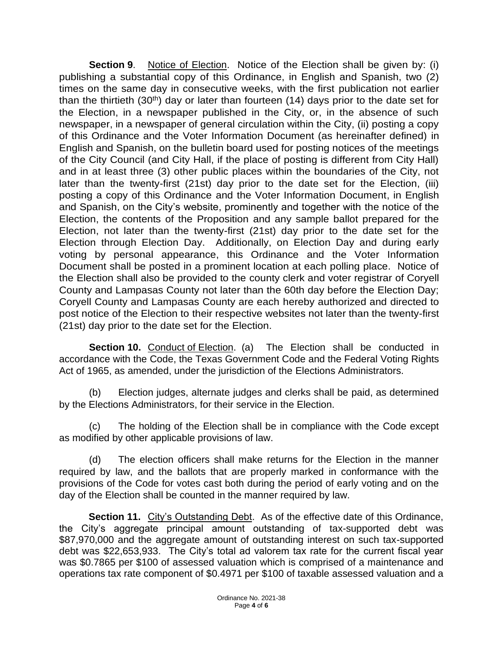**Section 9.** Notice of Election. Notice of the Election shall be given by: (i) publishing a substantial copy of this Ordinance, in English and Spanish, two (2) times on the same day in consecutive weeks, with the first publication not earlier than the thirtieth  $(30<sup>th</sup>)$  day or later than fourteen  $(14)$  days prior to the date set for the Election, in a newspaper published in the City, or, in the absence of such newspaper, in a newspaper of general circulation within the City, (ii) posting a copy of this Ordinance and the Voter Information Document (as hereinafter defined) in English and Spanish, on the bulletin board used for posting notices of the meetings of the City Council (and City Hall, if the place of posting is different from City Hall) and in at least three (3) other public places within the boundaries of the City, not later than the twenty-first (21st) day prior to the date set for the Election, (iii) posting a copy of this Ordinance and the Voter Information Document, in English and Spanish, on the City's website, prominently and together with the notice of the Election, the contents of the Proposition and any sample ballot prepared for the Election, not later than the twenty-first (21st) day prior to the date set for the Election through Election Day. Additionally, on Election Day and during early voting by personal appearance, this Ordinance and the Voter Information Document shall be posted in a prominent location at each polling place. Notice of the Election shall also be provided to the county clerk and voter registrar of Coryell County and Lampasas County not later than the 60th day before the Election Day; Coryell County and Lampasas County are each hereby authorized and directed to post notice of the Election to their respective websites not later than the twenty-first (21st) day prior to the date set for the Election.

**Section 10.** Conduct of Election. (a) The Election shall be conducted in accordance with the Code, the Texas Government Code and the Federal Voting Rights Act of 1965, as amended, under the jurisdiction of the Elections Administrators.

(b) Election judges, alternate judges and clerks shall be paid, as determined by the Elections Administrators, for their service in the Election.

(c) The holding of the Election shall be in compliance with the Code except as modified by other applicable provisions of law.

(d) The election officers shall make returns for the Election in the manner required by law, and the ballots that are properly marked in conformance with the provisions of the Code for votes cast both during the period of early voting and on the day of the Election shall be counted in the manner required by law.

**Section 11.** City's Outstanding Debt. As of the effective date of this Ordinance, the City's aggregate principal amount outstanding of tax-supported debt was \$87,970,000 and the aggregate amount of outstanding interest on such tax-supported debt was \$22,653,933. The City's total ad valorem tax rate for the current fiscal year was \$0.7865 per \$100 of assessed valuation which is comprised of a maintenance and operations tax rate component of \$0.4971 per \$100 of taxable assessed valuation and a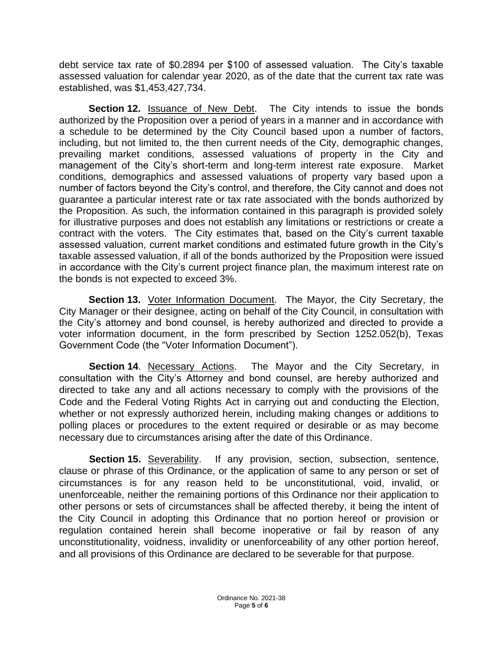debt service tax rate of \$0.2894 per \$100 of assessed valuation. The City's taxable assessed valuation for calendar year 2020, as of the date that the current tax rate was established, was \$1,453,427,734.

**Section 12.** Issuance of New Debt. The City intends to issue the bonds authorized by the Proposition over a period of years in a manner and in accordance with a schedule to be determined by the City Council based upon a number of factors, including, but not limited to, the then current needs of the City, demographic changes, prevailing market conditions, assessed valuations of property in the City and management of the City's short-term and long-term interest rate exposure. Market conditions, demographics and assessed valuations of property vary based upon a number of factors beyond the City's control, and therefore, the City cannot and does not guarantee a particular interest rate or tax rate associated with the bonds authorized by the Proposition. As such, the information contained in this paragraph is provided solely for illustrative purposes and does not establish any limitations or restrictions or create a contract with the voters. The City estimates that, based on the City's current taxable assessed valuation, current market conditions and estimated future growth in the City's taxable assessed valuation, if all of the bonds authorized by the Proposition were issued in accordance with the City's current project finance plan, the maximum interest rate on the bonds is not expected to exceed 3%.

**Section 13.** Voter Information Document. The Mayor, the City Secretary, the City Manager or their designee, acting on behalf of the City Council, in consultation with the City's attorney and bond counsel, is hereby authorized and directed to provide a voter information document, in the form prescribed by Section 1252.052(b), Texas Government Code (the "Voter Information Document").

**Section 14.** Necessary Actions. The Mayor and the City Secretary, in consultation with the City's Attorney and bond counsel, are hereby authorized and directed to take any and all actions necessary to comply with the provisions of the Code and the Federal Voting Rights Act in carrying out and conducting the Election, whether or not expressly authorized herein, including making changes or additions to polling places or procedures to the extent required or desirable or as may become necessary due to circumstances arising after the date of this Ordinance.

**Section 15.** Severability. If any provision, section, subsection, sentence, clause or phrase of this Ordinance, or the application of same to any person or set of circumstances is for any reason held to be unconstitutional, void, invalid, or unenforceable, neither the remaining portions of this Ordinance nor their application to other persons or sets of circumstances shall be affected thereby, it being the intent of the City Council in adopting this Ordinance that no portion hereof or provision or regulation contained herein shall become inoperative or fail by reason of any unconstitutionality, voidness, invalidity or unenforceability of any other portion hereof, and all provisions of this Ordinance are declared to be severable for that purpose.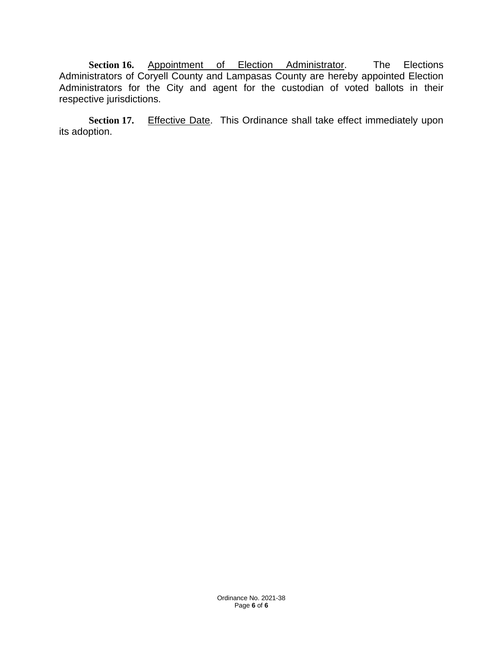**Section 16.** Appointment of Election Administrator. The Elections Administrators of Coryell County and Lampasas County are hereby appointed Election Administrators for the City and agent for the custodian of voted ballots in their respective jurisdictions.

Section 17. Effective Date. This Ordinance shall take effect immediately upon its adoption.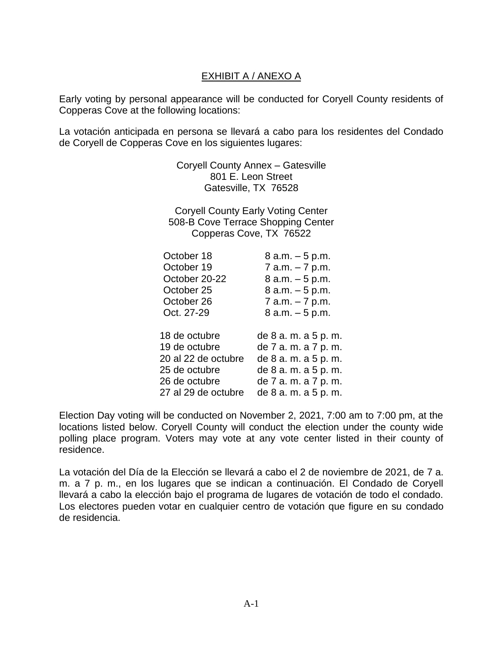# EXHIBIT A / ANEXO A

Early voting by personal appearance will be conducted for Coryell County residents of Copperas Cove at the following locations:

La votación anticipada en persona se llevará a cabo para los residentes del Condado de Coryell de Copperas Cove en los siguientes lugares:

> Coryell County Annex – Gatesville 801 E. Leon Street Gatesville, TX 76528

Coryell County Early Voting Center 508-B Cove Terrace Shopping Center Copperas Cove, TX 76522

| October 18          | 8 a.m. – 5 p.m.      |
|---------------------|----------------------|
| October 19          | 7 a.m. - 7 p.m.      |
| October 20-22       | $8 a.m. - 5 p.m.$    |
| October 25          | 8 a.m. – 5 p.m.      |
| October 26          | 7 a.m. - 7 p.m.      |
| Oct. 27-29          | $8$ a.m. $-5$ p.m.   |
| 18 de octubre       | de 8 a.m. a 5 p.m.   |
| 19 de octubre       | de 7 a. m. a 7 p. m. |
| 20 al 22 de octubre | de 8 a.m. a 5 p.m.   |
| 25 de octubre       | de 8 a.m. a 5 p.m.   |
| 26 de octubre       | de 7 a.m. a 7 p.m.   |
| 27 al 29 de octubre | de 8 a.m. a 5 p.m.   |

Election Day voting will be conducted on November 2, 2021, 7:00 am to 7:00 pm, at the locations listed below. Coryell County will conduct the election under the county wide polling place program. Voters may vote at any vote center listed in their county of residence.

La votación del Día de la Elección se llevará a cabo el 2 de noviembre de 2021, de 7 a. m. a 7 p. m., en los lugares que se indican a continuación. El Condado de Coryell llevará a cabo la elección bajo el programa de lugares de votación de todo el condado. Los electores pueden votar en cualquier centro de votación que figure en su condado de residencia.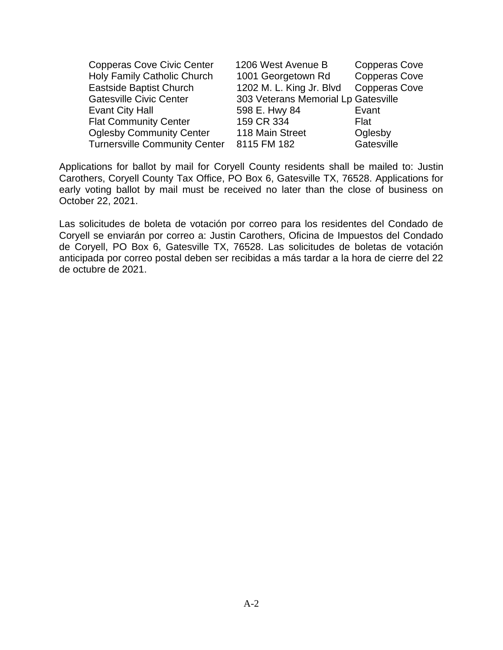| <b>Copperas Cove Civic Center</b>    | 1206 West Avenue B                  | <b>Copperas Cove</b> |
|--------------------------------------|-------------------------------------|----------------------|
| Holy Family Catholic Church          | 1001 Georgetown Rd                  | <b>Copperas Cove</b> |
| <b>Eastside Baptist Church</b>       | 1202 M. L. King Jr. Blvd            | <b>Copperas Cove</b> |
| <b>Gatesville Civic Center</b>       | 303 Veterans Memorial Lp Gatesville |                      |
| Evant City Hall                      | 598 E. Hwy 84                       | Evant                |
| <b>Flat Community Center</b>         | 159 CR 334                          | Flat                 |
| <b>Oglesby Community Center</b>      | 118 Main Street                     | Oglesby              |
| <b>Turnersville Community Center</b> | 8115 FM 182                         | Gatesville           |

Applications for ballot by mail for Coryell County residents shall be mailed to: Justin Carothers, Coryell County Tax Office, PO Box 6, Gatesville TX, 76528. Applications for early voting ballot by mail must be received no later than the close of business on October 22, 2021.

Las solicitudes de boleta de votación por correo para los residentes del Condado de Coryell se enviarán por correo a: Justin Carothers, Oficina de Impuestos del Condado de Coryell, PO Box 6, Gatesville TX, 76528. Las solicitudes de boletas de votación anticipada por correo postal deben ser recibidas a más tardar a la hora de cierre del 22 de octubre de 2021.